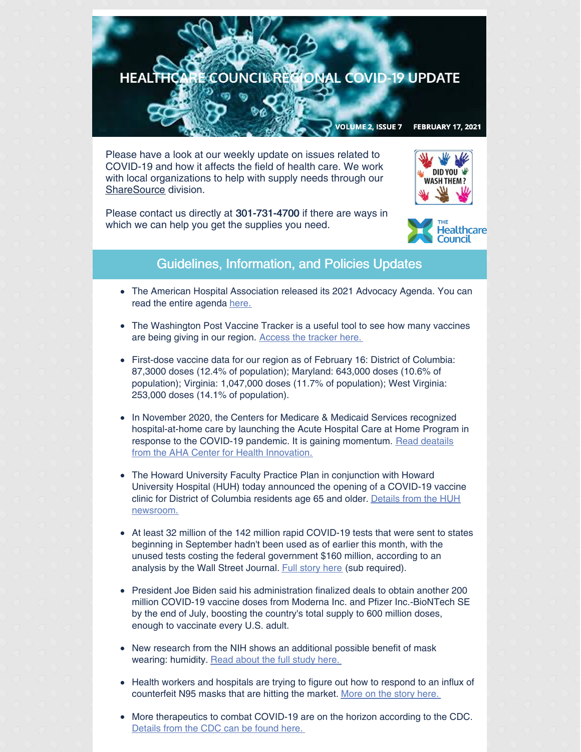

Please have a look at our weekly update on issues related to COVID-19 and how it affects the field of health care. We work with local organizations to help with supply needs through our [ShareSource](https://www.share-source.org/) division.



Please contact us directly at 301-731-4700 if there are ways in which we can help you get the supplies you need.



## Guidelines, Information, and Policies Updates

- The American Hospital Association released its 2021 Advocacy Agenda. You can read the entire agenda [here.](https://mcusercontent.com/67e7a773996f97d87b3be7633/files/97bb2a02-4ae1-4abd-8ffe-4396862d096d/aha_advocacy_agenda_2021.pdf)
- The Washington Post Vaccine Tracker is a useful tool to see how many vaccines are being giving in our region. [Access](https://www.washingtonpost.com/graphics/2020/health/covid-vaccine-states-distribution-doses/?itid=lk_inline_manual_12) the tracker here.
- First-dose vaccine data for our region as of February 16: District of Columbia: 87,3000 doses (12.4% of population); Maryland: 643,000 doses (10.6% of population); Virginia: 1,047,000 doses (11.7% of population); West Virginia: 253,000 doses (14.1% of population).
- In November 2020, the Centers for Medicare & Medicaid Services recognized hospital-at-home care by launching the Acute Hospital Care at Home Program in response to the COVID-19 pandemic. It is gaining [momentum.](https://contentsharing.net/actions/email_web_version.cfm?ep=Bdhtp-zVuqFkgQiV6-lxty0f-nrLBJWzuTngPvD-5dWXOaICIPF787GOY_mDdmDfvX9Wp549xfzfe5oUZMh3yFf2lfpe8MmMlWVxnPgdEPDlyNEoRBxdtszCesneqNe8) Read deatails from the AHA Center for Health Innovation.
- The Howard University Faculty Practice Plan in conjunction with Howard  $\bullet$ University Hospital (HUH) today announced the opening of a COVID-19 vaccine clinic for District of Columbia residents age 65 and older. Details from the HUH [newsroom.](https://newsroom.howard.edu/newsroom/article/13836/howard-university-faculty-prac)
- At least 32 million of the 142 million rapid COVID-19 tests that were sent to states beginning in September hadn't been used as of earlier this month, with the unused tests costing the federal government \$160 million, according to an analysis by the Wall Street Journal. Full [story](https://www.wsj.com/articles/the-u-s-bought-rapid-covid-19-tests-to-help-control-the-virus-now-many-are-unused-11613397601?mkt_tok=eyJpIjoiWTJSbFlUSmxPVFJrWkdKayIsInQiOiI2dmpORmtvMHVrOUNVckhFaFdYcEJyNTErVnVEeUVxc3JRZGN1emp0c3RtWXpZMExLV2thTTE2M014NG1VMFhOSFBUSTk0SVU3R2VDVTIxZXBrZTFxTWJjVjZnZW5QVVlBTEJpclpcL0pYbjl5NWRySU5wR0dqRjNLK29UeHlFNkYifQ==) here (sub required).
- President Joe Biden said his administration finalized deals to obtain another 200 million COVID-19 vaccine doses from Moderna Inc. and Pfizer Inc.-BioNTech SE by the end of July, boosting the country's total supply to 600 million doses, enough to vaccinate every U.S. adult.
- New research from the NIH shows an additional possible benefit of mask wearing: humidity. Read [about](https://www.nih.gov/news-events/news-releases/researchers-propose-humidity-masks-may-lessen-severity-covid-19) the full study here.
- Health workers and hospitals are trying to figure out how to respond to an influx of counterfeit N95 masks that are hitting the market. More on the story [here.](https://www.modernhealthcare.com/safety-quality/health-workers-and-hospitals-grapple-millions-counterfeit-n95-masks?utm_source=modern-healthcare-covid-19-coverage&utm_medium=email&utm_campaign=20210211&utm_content=article2-headline)
- More therapeutics to combat COVID-19 are on the horizon according to the CDC. [Details](https://www.nih.gov/news-events/news-releases/four-potential-covid-19-therapeutics-enter-phase-2-3-testing-nih-activ-2-trial) from the CDC can be found here.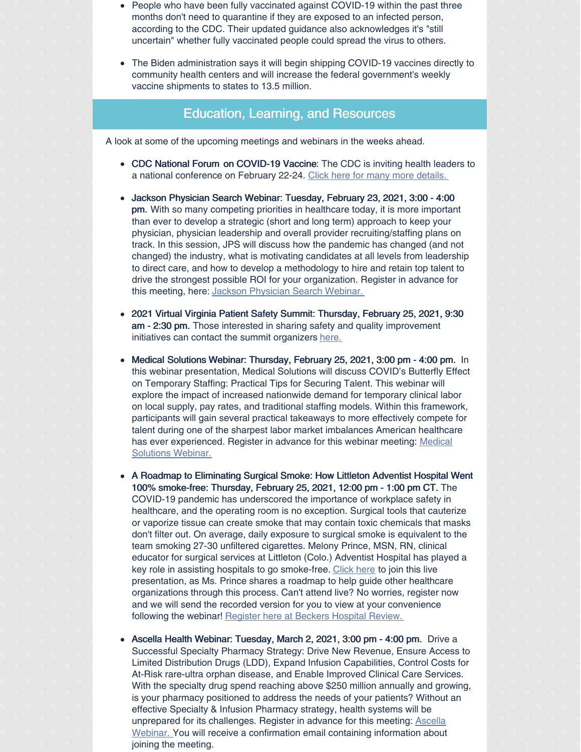- People who have been fully vaccinated against COVID-19 within the past three months don't need to quarantine if they are exposed to an infected person, according to the CDC. Their updated guidance also acknowledges it's "still uncertain" whether fully vaccinated people could spread the virus to others.
- The Biden administration says it will begin shipping COVID-19 vaccines directly to community health centers and will increase the federal government's weekly vaccine shipments to states to 13.5 million.

## Education, Learning, and Resources

A look at some of the upcoming meetings and webinars in the weeks ahead.

- CDC National Forum on COVID-19 Vaccine: The CDC is inviting health leaders to a national conference on February 22-24. Click here for many more [details.](https://www.cdc.gov/coronavirus/2019-ncov/vaccines/forum/index.html?ACSTrackingID=USCDC_11_7-DM49727&ACSTrackingLabel=National Forum on COVID-19 Vaccine&deliveryName=USCDC_11_7-DM49727)
- Jackson Physician Search Webinar: Tuesday, February 23, 2021, 3:00 4:00 pm. With so many competing priorities in healthcare today, it is more important than ever to develop a strategic (short and long term) approach to keep your physician, physician leadership and overall provider recruiting/staffing plans on track. In this session, JPS will discuss how the pandemic has changed (and not changed) the industry, what is motivating candidates at all levels from leadership to direct care, and how to develop a methodology to hire and retain top talent to drive the strongest possible ROI for your organization. Register in advance for this meeting, here: Jackson [Physician](https://us02web.zoom.us/meeting/register/tZAuf-6rrTsqH9FCo9Pkw2qbD5FtBzywIcRa) Search Webinar.
- 2021 Virtual Virginia Patient Safety Summit: Thursday, February 25, 2021, 9:30  $\bullet$ am - 2:30 pm. Those interested in sharing safety and quality improvement initiatives can contact the summit organizers [here.](http://image.outreach.vhha.com/lib/fe3b11717164047c771576/m/1/f26eb079-7276-49c8-aa5d-ee56437d56bd.pdf)
- Medical Solutions Webinar: Thursday, February 25, 2021, 3:00 pm 4:00 pm. In this webinar presentation, Medical Solutions will discuss COVID's Butterfly Effect on Temporary Staffing: Practical Tips for Securing Talent. This webinar will explore the impact of increased nationwide demand for temporary clinical labor on local supply, pay rates, and traditional staffing models. Within this framework, participants will gain several practical takeaways to more effectively compete for talent during one of the sharpest labor market imbalances American healthcare has ever [experienced.](https://us02web.zoom.us/meeting/register/tZIscemuqzsqE9MxrKKVgc0UXTM5OEbzb7JK) Register in advance for this webinar meeting: Medical Solutions Webinar.
- $\bullet$ A Roadmap to Eliminating Surgical Smoke: How Littleton Adventist Hospital Went 100% smoke-free: Thursday, February 25, 2021, 12:00 pm - 1:00 pm CT. The COVID-19 pandemic has underscored the importance of workplace safety in healthcare, and the operating room is no exception. Surgical tools that cauterize or vaporize tissue can create smoke that may contain toxic chemicals that masks don't filter out. On average, daily exposure to surgical smoke is equivalent to the team smoking 27-30 unfiltered cigarettes. Melony Prince, MSN, RN, clinical educator for surgical services at Littleton (Colo.) Adventist Hospital has played a key role in assisting hospitals to go smoke-free. [Click](https://go.beckershospitalreview.com/a-roadmap-to-eliminating-surgical-smoke-how-littleton-adventist-hospital-went-100-smoke-free?utm_campaign=Stryker_Webinar_2.25.2021&utm_source=email&utm_content=code1) here to join this live presentation, as Ms. Prince shares a roadmap to help guide other healthcare organizations through this process. Can't attend live? No worries, register now and we will send the recorded version for you to view at your convenience following the webinar! [Register](https://go.beckershospitalreview.com/a-roadmap-to-eliminating-surgical-smoke-how-littleton-adventist-hospital-went-100-smoke-free?utm_campaign=Stryker_Webinar_2.25.2021&utm_source=email&utm_content=code1) here at Beckers Hospital Review.
- Ascella Health Webinar: Tuesday, March 2, 2021, 3:00 pm 4:00 pm. Drive a  $\bullet$ Successful Specialty Pharmacy Strategy: Drive New Revenue, Ensure Access to Limited Distribution Drugs (LDD), Expand Infusion Capabilities, Control Costs for At-Risk rare-ultra orphan disease, and Enable Improved Clinical Care Services. With the specialty drug spend reaching above \$250 million annually and growing, is your pharmacy positioned to address the needs of your patients? Without an effective Specialty & Infusion Pharmacy strategy, health systems will be unprepared for its challenges. Register in advance for this meeting: Ascella Webinar. You will receive a [confirmation](https://us02web.zoom.us/meeting/register/tZUud--srTovG92Ou96W6zs7Tou7DnKXfU6B) email containing information about joining the meeting.